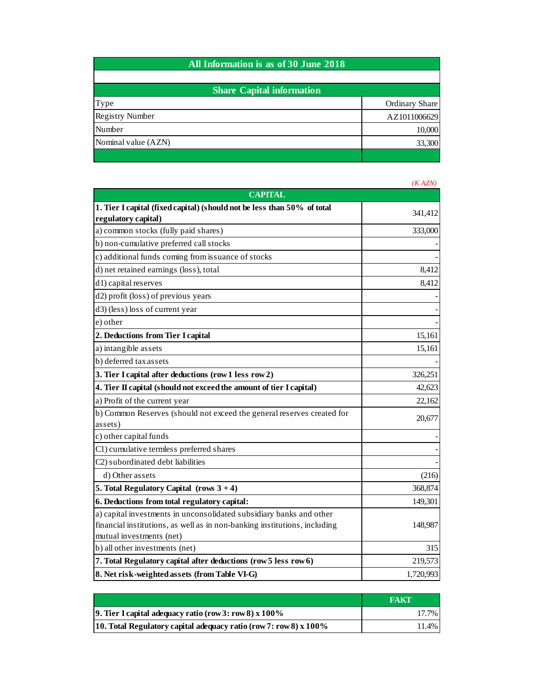| All Information is as of 30 June 2018 |                |  |
|---------------------------------------|----------------|--|
|                                       |                |  |
| <b>Share Capital information</b>      |                |  |
| Type                                  | Ordinary Share |  |
| <b>Registry Number</b>                | AZ1011006629   |  |
| Number                                | 10,000         |  |
| Nominal value (AZN)                   | 33,300         |  |
|                                       |                |  |

|                                                                                                                                                                              | (KAZN)    |
|------------------------------------------------------------------------------------------------------------------------------------------------------------------------------|-----------|
| <b>CAPITAL</b>                                                                                                                                                               |           |
| 1. Tier I capital (fixed capital) (should not be less than 50% of total<br>regulatory capital)                                                                               | 341,412   |
| a) common stocks (fully paid shares)                                                                                                                                         | 333,000   |
| b) non-cumulative preferred call stocks                                                                                                                                      |           |
| c) additional funds coming from issuance of stocks                                                                                                                           |           |
| d) net retained earnings (loss), total                                                                                                                                       | 8,412     |
| d1) capital reserves                                                                                                                                                         | 8,412     |
| d2) profit (loss) of previous years                                                                                                                                          |           |
| d3) (less) loss of current year                                                                                                                                              |           |
| e) other                                                                                                                                                                     |           |
| 2. Deductions from Tier I capital                                                                                                                                            | 15,161    |
| a) intangible assets                                                                                                                                                         | 15,161    |
| b) deferred tax assets                                                                                                                                                       |           |
| 3. Tier I capital after deductions (row 1 less row 2)                                                                                                                        | 326,251   |
| 4. Tier II capital (should not exceed the amount of tier I capital)                                                                                                          | 42,623    |
| a) Profit of the current year                                                                                                                                                | 22,162    |
| b) Common Reserves (should not exceed the general reserves created for<br>assets)                                                                                            | 20,677    |
| c) other capital funds                                                                                                                                                       |           |
| C1) cumulative termless preferred shares                                                                                                                                     |           |
| C2) subordinated debt liabilities                                                                                                                                            |           |
| d) Other assets                                                                                                                                                              | (216)     |
| 5. Total Regulatory Capital (rows $3 + 4$ )                                                                                                                                  | 368,874   |
| 6. Deductions from total regulatory capital:                                                                                                                                 | 149,301   |
| a) capital investments in unconsolidated subsidiary banks and other<br>financial institutions, as well as in non-banking institutions, including<br>mutual investments (net) | 148,987   |
| b) all other investments (net)                                                                                                                                               | 315       |
| 7. Total Regulatory capital after deductions (row 5 less row 6)                                                                                                              | 219,573   |
| 8. Net risk-weighted assets (from Table VI-G)                                                                                                                                | 1,720,993 |

|                                                                     | <b>FAKT</b> |
|---------------------------------------------------------------------|-------------|
| 9. Tier I capital adequacy ratio (row 3: row 8) $x$ 100%            | 17.7%       |
| 10. Total Regulatory capital adequacy ratio (row 7: row 8) $x$ 100% | 11.4%       |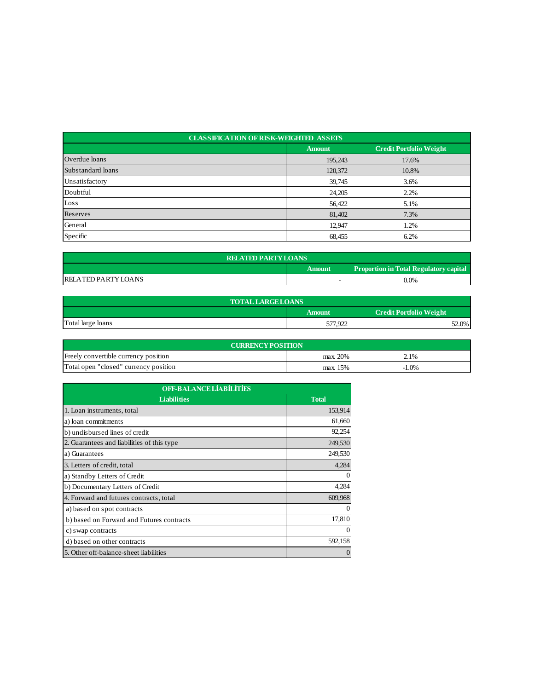| <b>CLASSIFICATION OF RISK-WEIGHTED ASSETS</b> |               |                                |  |  |
|-----------------------------------------------|---------------|--------------------------------|--|--|
|                                               | <b>Amount</b> | <b>Credit Portfolio Weight</b> |  |  |
| Overdue loans                                 | 195,243       | 17.6%                          |  |  |
| Substandard loans                             | 120,372       | 10.8%                          |  |  |
| Unsatisfactory                                | 39,745        | 3.6%                           |  |  |
| Doubtful                                      | 24,205        | 2.2%                           |  |  |
| Loss                                          | 56,422        | 5.1%                           |  |  |
| Reserves                                      | 81,402        | 7.3%                           |  |  |
| General                                       | 12,947        | 1.2%                           |  |  |
| Specific                                      | 68,455        | 6.2%                           |  |  |

| <b>RELATED PARTY LOANS</b>                              |  |         |  |  |
|---------------------------------------------------------|--|---------|--|--|
| <b>Proportion in Total Regulatory capital</b><br>Amount |  |         |  |  |
| <b>RELATED PARTY LOANS</b>                              |  | $0.0\%$ |  |  |

| <b>TOTAL LARGE LOANS</b> |                                                 |       |  |  |
|--------------------------|-------------------------------------------------|-------|--|--|
|                          | <b>Credit Portfolio Weight</b><br><b>Amount</b> |       |  |  |
| Total large loans        | 577.922                                         | 52.0% |  |  |

| <b>CURRENCY POSITION</b>              |          |         |  |  |
|---------------------------------------|----------|---------|--|--|
| Freely convertible currency position  | max. 20% | 2.1%    |  |  |
| Total open "closed" currency position | max. 15% | $-1.0%$ |  |  |

| <b>OFF-BALANCE LIABILITIES</b>             |              |  |
|--------------------------------------------|--------------|--|
| <b>Liabilities</b>                         | <b>Total</b> |  |
| 1. Loan instruments, total                 | 153,914      |  |
| a) loan commitments                        | 61,660       |  |
| b) undisbursed lines of credit             | 92,254       |  |
| 2. Guarantees and liabilities of this type | 249,530      |  |
| a) Guarantees                              | 249,530      |  |
| 3. Letters of credit, total                | 4,284        |  |
| a) Standby Letters of Credit               |              |  |
| b) Documentary Letters of Credit           | 4,284        |  |
| 4. Forward and futures contracts, total    | 609,968      |  |
| a) based on spot contracts                 |              |  |
| b) based on Forward and Futures contracts  | 17,810       |  |
| c) swap contracts                          |              |  |
| d) based on other contracts                | 592,158      |  |
| 5. Other off-balance-sheet liabilities     |              |  |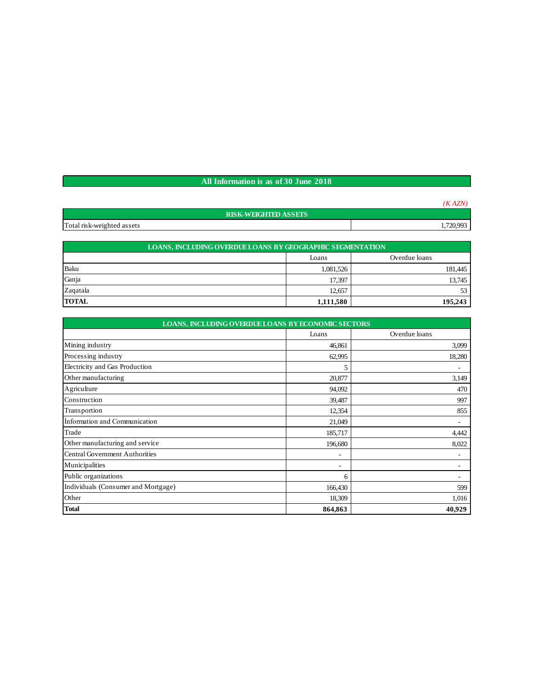## **All Information is as of 30 June 2018**

| <b>RISK-WEIGHTED ASSETS</b> |           |
|-----------------------------|-----------|
| Total risk-weighted assets  | 1,720,993 |

| LOANS, INCLUDING OVERDUE LOANS BY GEOGRAPHIC SEGMENTATION |                        |         |  |  |
|-----------------------------------------------------------|------------------------|---------|--|--|
|                                                           | Overdue loans<br>Loans |         |  |  |
| Baku                                                      | 1,081,526              | 181,445 |  |  |
| Ganja                                                     | 17.397                 | 13,745  |  |  |
| Zagatala                                                  | 12.657                 | 53      |  |  |
| <b>TOTAL</b>                                              | 1,111,580              | 195,243 |  |  |

| LOANS, INCLUDING OVERDUE LOANS BY ECONOMIC SECTORS |                          |               |  |  |
|----------------------------------------------------|--------------------------|---------------|--|--|
|                                                    | Loans                    | Overdue loans |  |  |
| Mining industry                                    | 46,861                   | 3,099         |  |  |
| Processing industry                                | 62,995                   | 18,280        |  |  |
| Electricity and Gas Production                     | 5                        | ٠             |  |  |
| Other manufacturing                                | 20,877                   | 3,149         |  |  |
| Agriculture                                        | 94,092                   | 470           |  |  |
| Construction                                       | 39,487                   | 997           |  |  |
| Transportion                                       | 12,354                   | 855           |  |  |
| Information and Communication                      | 21,049                   | -             |  |  |
| Trade                                              | 185,717                  | 4,442         |  |  |
| Other manufacturing and service                    | 196,680                  | 8,022         |  |  |
| <b>Central Government Authorities</b>              | ٠                        | ۰             |  |  |
| Municipalities                                     | $\overline{\phantom{a}}$ | ۰             |  |  |
| Public organizations                               | 6                        |               |  |  |
| Individuals (Consumer and Mortgage)                | 166,430                  | 599           |  |  |
| Other                                              | 18,309                   | 1,016         |  |  |
| <b>Total</b>                                       | 864,863                  | 40,929        |  |  |